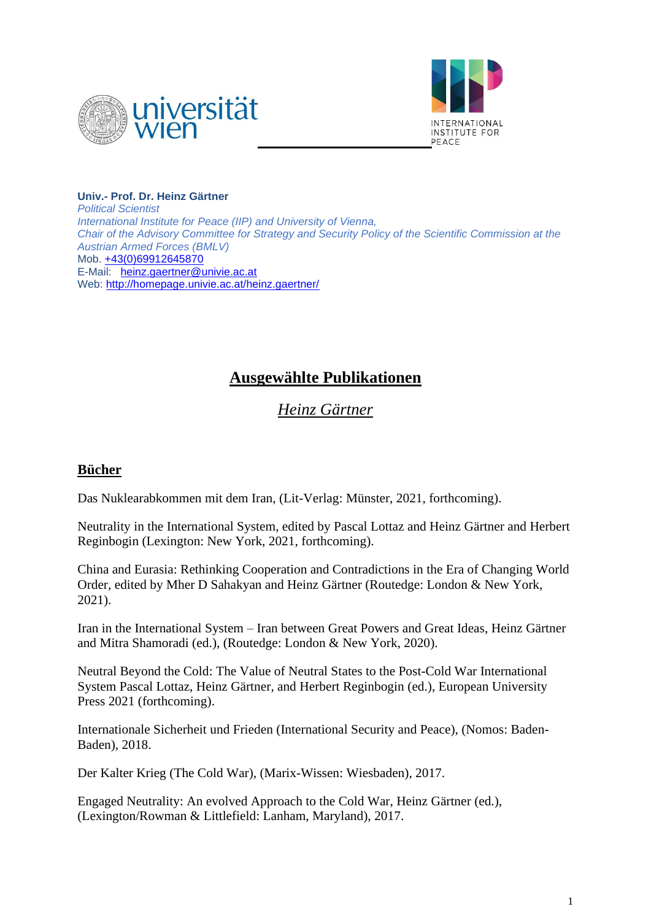



**Univ.- Prof. Dr. Heinz Gärtner** *Political Scientist International Institute for Peace (IIP) and University of Vienna, Chair of the Advisory Committee for Strategy and Security Policy of the Scientific Commission at the Austrian Armed Forces (BMLV)* Mob. [+43\(0\)69912645870](tel:+43(0)69912645870) E-Mail: [heinz.gaertner@univie.ac.at](mailto:heinz.gaertner@univie.ac.at) Web:<http://homepage.univie.ac.at/heinz.gaertner/>

## **Ausgewählte Publikationen**

*Heinz Gärtner*

## **Bücher**

Das Nuklearabkommen mit dem Iran, (Lit-Verlag: Münster, 2021, forthcoming).

Neutrality in the International System, edited by Pascal Lottaz and Heinz Gärtner and Herbert Reginbogin (Lexington: New York, 2021, forthcoming).

China and Eurasia: Rethinking Cooperation and Contradictions in the Era of Changing World Order, edited by Mher D Sahakyan and Heinz Gärtner (Routedge: London & New York, 2021).

Iran in the International System – Iran between Great Powers and Great Ideas, Heinz Gärtner and Mitra Shamoradi (ed.), (Routedge: London & New York, 2020).

Neutral Beyond the Cold: The Value of Neutral States to the Post-Cold War International System Pascal Lottaz, Heinz Gärtner, and Herbert Reginbogin (ed.), European University Press 2021 (forthcoming).

Internationale Sicherheit und Frieden (International Security and Peace), (Nomos: Baden-Baden), 2018.

Der Kalter Krieg (The Cold War), (Marix-Wissen: Wiesbaden), 2017.

Engaged Neutrality: An evolved Approach to the Cold War, Heinz Gärtner (ed.), (Lexington/Rowman & Littlefield: Lanham, Maryland), 2017.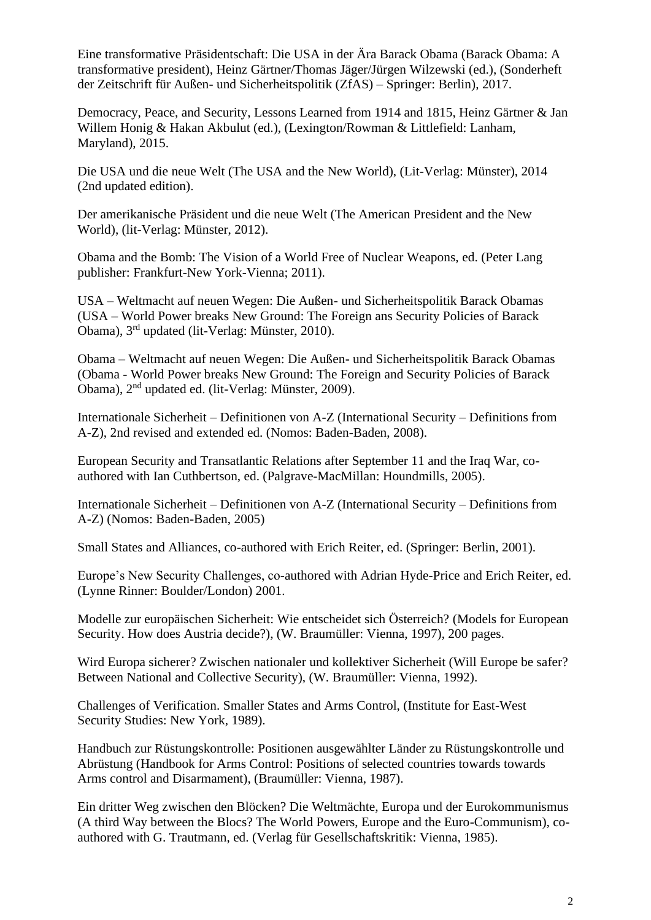Eine transformative Präsidentschaft: Die USA in der Ära Barack Obama (Barack Obama: A transformative president), Heinz Gärtner/Thomas Jäger/Jürgen Wilzewski (ed.), (Sonderheft der Zeitschrift für Außen- und Sicherheitspolitik (ZfAS) – Springer: Berlin), 2017.

Democracy, Peace, and Security, Lessons Learned from 1914 and 1815, Heinz Gärtner & Jan Willem Honig & Hakan Akbulut (ed.), (Lexington/Rowman & Littlefield: Lanham, Maryland), 2015.

Die USA und die neue Welt (The USA and the New World), (Lit-Verlag: Münster), 2014 (2nd updated edition).

Der amerikanische Präsident und die neue Welt (The American President and the New World), (lit-Verlag: Münster, 2012).

Obama and the Bomb: The Vision of a World Free of Nuclear Weapons, ed. (Peter Lang publisher: Frankfurt-New York-Vienna; 2011).

USA – Weltmacht auf neuen Wegen: Die Außen- und Sicherheitspolitik Barack Obamas (USA – World Power breaks New Ground: The Foreign ans Security Policies of Barack Obama), 3rd updated (lit-Verlag: Münster, 2010).

Obama – Weltmacht auf neuen Wegen: Die Außen- und Sicherheitspolitik Barack Obamas (Obama - World Power breaks New Ground: The Foreign and Security Policies of Barack Obama), 2nd updated ed. (lit-Verlag: Münster, 2009).

Internationale Sicherheit – Definitionen von A-Z (International Security – Definitions from A-Z), 2nd revised and extended ed. (Nomos: Baden-Baden, 2008).

European Security and Transatlantic Relations after September 11 and the Iraq War, coauthored with Ian Cuthbertson, ed. (Palgrave-MacMillan: Houndmills, 2005).

Internationale Sicherheit – Definitionen von A-Z (International Security – Definitions from A-Z) (Nomos: Baden-Baden, 2005)

Small States and Alliances, co-authored with Erich Reiter, ed. (Springer: Berlin, 2001).

Europe's New Security Challenges, co-authored with Adrian Hyde-Price and Erich Reiter, ed. (Lynne Rinner: Boulder/London) 2001.

Modelle zur europäischen Sicherheit: Wie entscheidet sich Österreich? (Models for European Security. How does Austria decide?), (W. Braumüller: Vienna, 1997), 200 pages.

Wird Europa sicherer? Zwischen nationaler und kollektiver Sicherheit (Will Europe be safer? Between National and Collective Security), (W. Braumüller: Vienna, 1992).

Challenges of Verification. Smaller States and Arms Control, (Institute for East-West Security Studies: New York, 1989).

Handbuch zur Rüstungskontrolle: Positionen ausgewählter Länder zu Rüstungskontrolle und Abrüstung (Handbook for Arms Control: Positions of selected countries towards towards Arms control and Disarmament), (Braumüller: Vienna, 1987).

Ein dritter Weg zwischen den Blöcken? Die Weltmächte, Europa und der Eurokommunismus (A third Way between the Blocs? The World Powers, Europe and the Euro-Communism), coauthored with G. Trautmann, ed. (Verlag für Gesellschaftskritik: Vienna, 1985).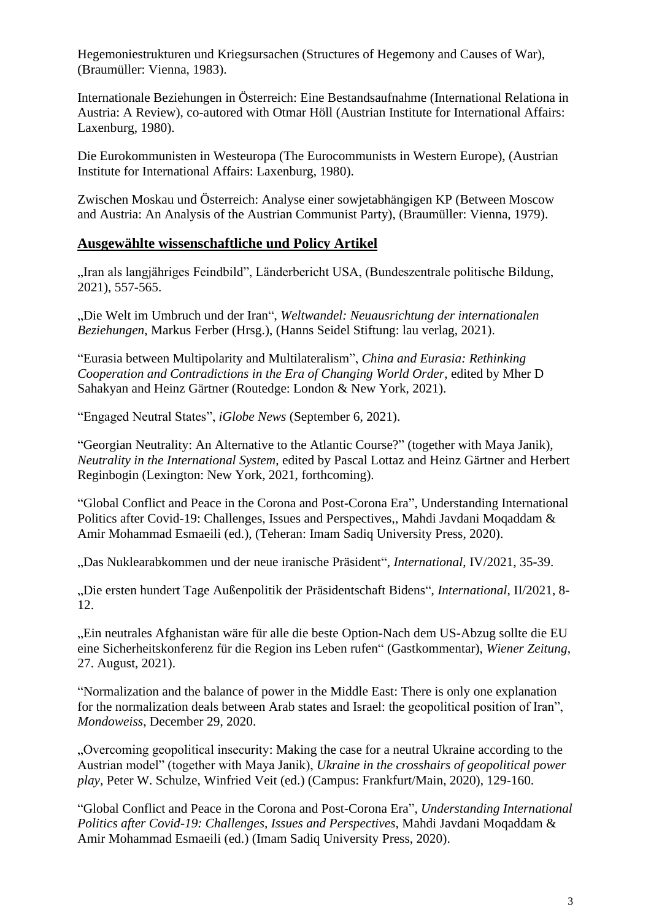Hegemoniestrukturen und Kriegsursachen (Structures of Hegemony and Causes of War), (Braumüller: Vienna, 1983).

Internationale Beziehungen in Österreich: Eine Bestandsaufnahme (International Relationa in Austria: A Review), co-autored with Otmar Höll (Austrian Institute for International Affairs: Laxenburg, 1980).

Die Eurokommunisten in Westeuropa (The Eurocommunists in Western Europe), (Austrian Institute for International Affairs: Laxenburg, 1980).

Zwischen Moskau und Österreich: Analyse einer sowjetabhängigen KP (Between Moscow and Austria: An Analysis of the Austrian Communist Party), (Braumüller: Vienna, 1979).

## **Ausgewählte wissenschaftliche und Policy Artikel**

"Iran als langjähriges Feindbild", Länderbericht USA, (Bundeszentrale politische Bildung, 2021), 557-565.

"Die Welt im Umbruch und der Iran", *Weltwandel: Neuausrichtung der internationalen Beziehungen*, Markus Ferber (Hrsg.), (Hanns Seidel Stiftung: lau verlag, 2021).

"Eurasia between Multipolarity and Multilateralism", *China and Eurasia: Rethinking Cooperation and Contradictions in the Era of Changing World Order*, edited by Mher D Sahakyan and Heinz Gärtner (Routedge: London & New York, 2021).

"Engaged Neutral States", *iGlobe News* (September 6, 2021).

"Georgian Neutrality: An Alternative to the Atlantic Course?" (together with Maya Janik), *Neutrality in the International System*, edited by Pascal Lottaz and Heinz Gärtner and Herbert Reginbogin (Lexington: New York, 2021, forthcoming).

"Global Conflict and Peace in the Corona and Post-Corona Era", Understanding International Politics after Covid-19: Challenges, Issues and Perspectives,, Mahdi Javdani Moqaddam & Amir Mohammad Esmaeili (ed.), (Teheran: Imam Sadiq University Press, 2020).

"Das Nuklearabkommen und der neue iranische Präsident", *International*, IV/2021, 35-39.

"Die ersten hundert Tage Außenpolitik der Präsidentschaft Bidens", *International*, II/2021, 8- 12.

"Ein neutrales Afghanistan wäre für alle die beste Option-Nach dem US-Abzug sollte die EU eine Sicherheitskonferenz für die Region ins Leben rufen" (Gastkommentar), *Wiener Zeitung*, 27. August, 2021).

"Normalization and the balance of power in the Middle East: There is only one explanation for the normalization deals between Arab states and Israel: the geopolitical position of Iran", *Mondoweiss*, December 29, 2020.

"Overcoming geopolitical insecurity: Making the case for a neutral Ukraine according to the Austrian model" (together with Maya Janik), *Ukraine in the crosshairs of geopolitical power play,* Peter W. Schulze, Winfried Veit (ed.) (Campus: Frankfurt/Main, 2020), 129-160.

"Global Conflict and Peace in the Corona and Post-Corona Era", *Understanding International Politics after Covid-19: Challenges, Issues and Perspectives,* Mahdi Javdani Moqaddam & Amir Mohammad Esmaeili (ed.) (Imam Sadiq University Press, 2020).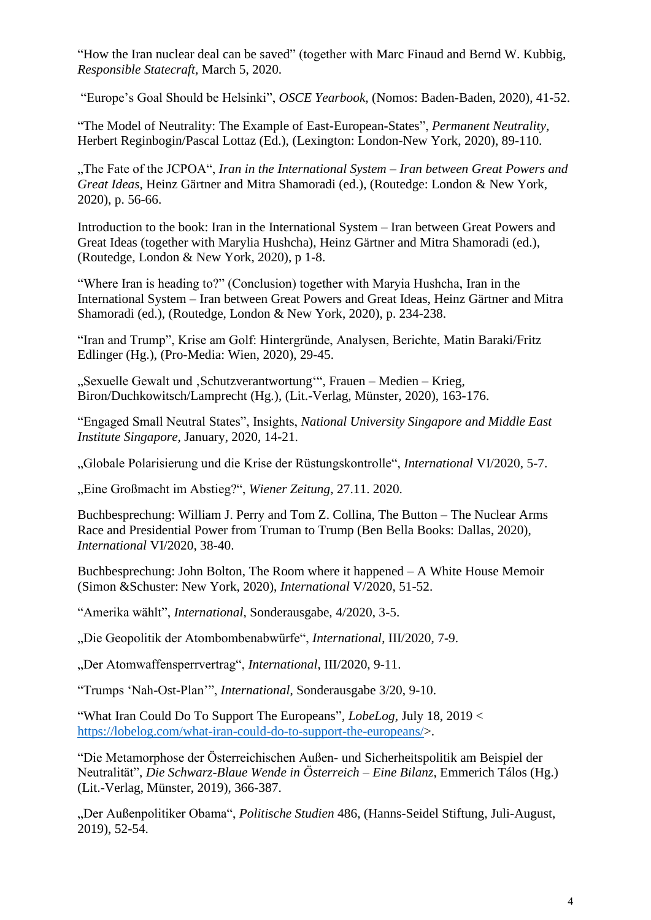"How the Iran nuclear deal can be saved" (together with Marc Finaud and Bernd W. Kubbig, *Responsible Statecraft,* March 5, 2020.

"Europe's Goal Should be Helsinki", *OSCE Yearbook,* (Nomos: Baden-Baden, 2020), 41-52.

"The Model of Neutrality: The Example of East-European-States", *Permanent Neutrality,* Herbert Reginbogin/Pascal Lottaz (Ed.), (Lexington: London-New York, 2020), 89-110.

"The Fate of the JCPOA", *Iran in the International System – Iran between Great Powers and Great Ideas*, Heinz Gärtner and Mitra Shamoradi (ed.), (Routedge: London & New York, 2020), p. 56-66.

Introduction to the book: Iran in the International System – Iran between Great Powers and Great Ideas (together with Marylia Hushcha), Heinz Gärtner and Mitra Shamoradi (ed.), (Routedge, London & New York, 2020), p 1-8.

"Where Iran is heading to?" (Conclusion) together with Maryia Hushcha, Iran in the International System – Iran between Great Powers and Great Ideas, Heinz Gärtner and Mitra Shamoradi (ed.), (Routedge, London & New York, 2020), p. 234-238.

"Iran and Trump", Krise am Golf: Hintergründe, Analysen, Berichte, Matin Baraki/Fritz Edlinger (Hg.), (Pro-Media: Wien, 2020), 29-45.

"Sexuelle Gewalt und 'Schutzverantwortung'", Frauen – Medien – Krieg, Biron/Duchkowitsch/Lamprecht (Hg.), (Lit.-Verlag, Münster, 2020), 163-176.

"Engaged Small Neutral States", Insights, *National University Singapore and Middle East Institute Singapore*, January, 2020, 14-21.

"Globale Polarisierung und die Krise der Rüstungskontrolle", *International* VI/2020, 5-7.

"Eine Großmacht im Abstieg?", Wiener Zeitung, 27.11. 2020.

Buchbesprechung: William J. Perry and Tom Z. Collina, The Button – The Nuclear Arms Race and Presidential Power from Truman to Trump (Ben Bella Books: Dallas, 2020), *International* VI/2020, 38-40.

Buchbesprechung: John Bolton, The Room where it happened – A White House Memoir (Simon &Schuster: New York, 2020), *International* V/2020, 51-52.

"Amerika wählt", *International*, Sonderausgabe, 4/2020, 3-5.

"Die Geopolitik der Atombombenabwürfe", *International*, III/2020, 7-9.

"Der Atomwaffensperrvertrag", *International*, III/2020, 9-11.

"Trumps 'Nah-Ost-Plan'", *International*, Sonderausgabe 3/20, 9-10.

"What Iran Could Do To Support The Europeans", *LobeLog,* July 18, 2019 < [https://lobelog.com/what-iran-could-do-to-support-the-europeans/>](https://lobelog.com/what-iran-could-do-to-support-the-europeans/).

"Die Metamorphose der Österreichischen Außen- und Sicherheitspolitik am Beispiel der Neutralität", *Die Schwarz-Blaue Wende in Österreich – Eine Bilanz*, Emmerich Tálos (Hg.) (Lit.-Verlag, Münster, 2019), 366-387.

"Der Außenpolitiker Obama", *Politische Studien* 486, (Hanns-Seidel Stiftung, Juli-August, 2019), 52-54.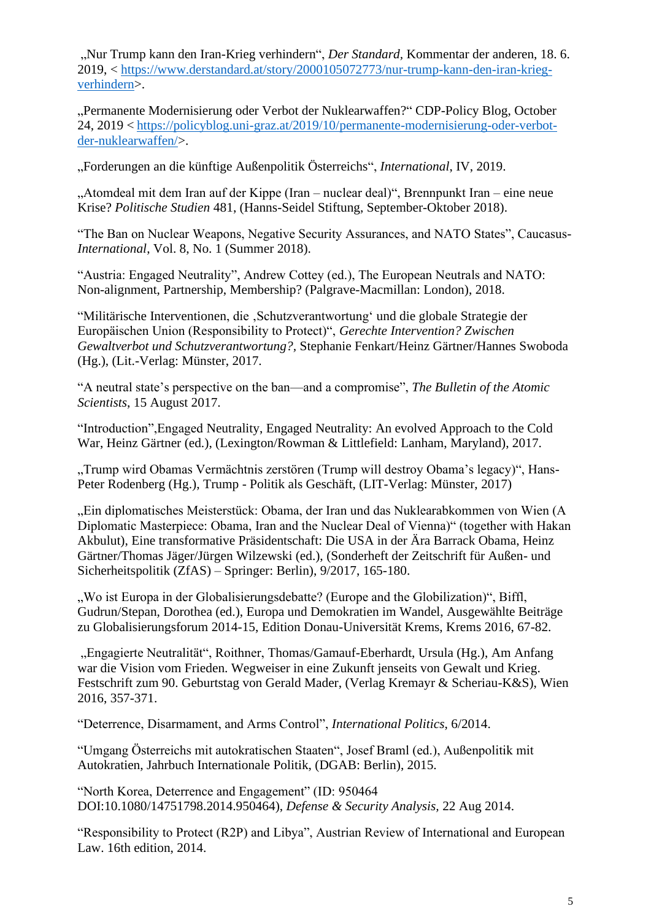"Nur Trump kann den Iran-Krieg verhindern", *Der Standard,* Kommentar der anderen, 18. 6. 2019, < [https://www.derstandard.at/story/2000105072773/nur-trump-kann-den-iran-krieg](https://www.derstandard.at/story/2000105072773/nur-trump-kann-den-iran-krieg-verhindern)[verhindern>](https://www.derstandard.at/story/2000105072773/nur-trump-kann-den-iran-krieg-verhindern).

"Permanente Modernisierung oder Verbot der Nuklearwaffen?" CDP-Policy Blog, October 24, 2019 < [https://policyblog.uni-graz.at/2019/10/permanente-modernisierung-oder-verbot](https://policyblog.uni-graz.at/2019/10/permanente-modernisierung-oder-verbot-der-nuklearwaffen/)[der-nuklearwaffen/>](https://policyblog.uni-graz.at/2019/10/permanente-modernisierung-oder-verbot-der-nuklearwaffen/).

"Forderungen an die künftige Außenpolitik Österreichs", *International*, IV, 2019.

"Atomdeal mit dem Iran auf der Kippe (Iran – nuclear deal)", Brennpunkt Iran – eine neue Krise? *Politische Studien* 481, (Hanns-Seidel Stiftung, September-Oktober 2018).

"The Ban on Nuclear Weapons, Negative Security Assurances, and NATO States", Caucasus-*International*, Vol. 8, No. 1 (Summer 2018).

"Austria: Engaged Neutrality", Andrew Cottey (ed.), The European Neutrals and NATO: Non-alignment, Partnership, Membership? (Palgrave-Macmillan: London), 2018.

"Militärische Interventionen, die ,Schutzverantwortung' und die globale Strategie der Europäischen Union (Responsibility to Protect)", *Gerechte Intervention? Zwischen Gewaltverbot und Schutzverantwortung?,* Stephanie Fenkart/Heinz Gärtner/Hannes Swoboda (Hg.), (Lit.-Verlag: Münster, 2017.

"A neutral state's perspective on the ban—and a compromise", *The Bulletin of the Atomic Scientists*, 15 August 2017.

"Introduction",Engaged Neutrality, Engaged Neutrality: An evolved Approach to the Cold War, Heinz Gärtner (ed.), (Lexington/Rowman & Littlefield: Lanham, Maryland), 2017.

"Trump wird Obamas Vermächtnis zerstören (Trump will destroy Obama's legacy)", Hans-Peter Rodenberg (Hg.), Trump - Politik als Geschäft, (LIT-Verlag: Münster, 2017)

"Ein diplomatisches Meisterstück: Obama, der Iran und das Nuklearabkommen von Wien (A Diplomatic Masterpiece: Obama, Iran and the Nuclear Deal of Vienna)" (together with Hakan Akbulut), Eine transformative Präsidentschaft: Die USA in der Ära Barrack Obama, Heinz Gärtner/Thomas Jäger/Jürgen Wilzewski (ed.), (Sonderheft der Zeitschrift für Außen- und Sicherheitspolitik (ZfAS) – Springer: Berlin), 9/2017, 165-180.

"Wo ist Europa in der Globalisierungsdebatte? (Europe and the Globilization)", Biffl, Gudrun/Stepan, Dorothea (ed.), Europa und Demokratien im Wandel, Ausgewählte Beiträge zu Globalisierungsforum 2014-15, Edition Donau-Universität Krems, Krems 2016, 67-82.

".Engagierte Neutralität", Roithner, Thomas/Gamauf-Eberhardt, Ursula (Hg.), Am Anfang war die Vision vom Frieden. Wegweiser in eine Zukunft jenseits von Gewalt und Krieg. Festschrift zum 90. Geburtstag von Gerald Mader, (Verlag Kremayr & Scheriau-K&S), Wien 2016, 357-371.

"Deterrence, Disarmament, and Arms Control", *International Politics*, 6/2014.

"Umgang Österreichs mit autokratischen Staaten", Josef Braml (ed.), Außenpolitik mit Autokratien, Jahrbuch Internationale Politik, (DGAB: Berlin), 2015.

"North Korea, Deterrence and Engagement" (ID: 950464 DOI:10.1080/14751798.2014.950464), *Defense & Security Analysis,* 22 Aug 2014.

"Responsibility to Protect (R2P) and Libya", Austrian Review of International and European Law. 16th edition, 2014.